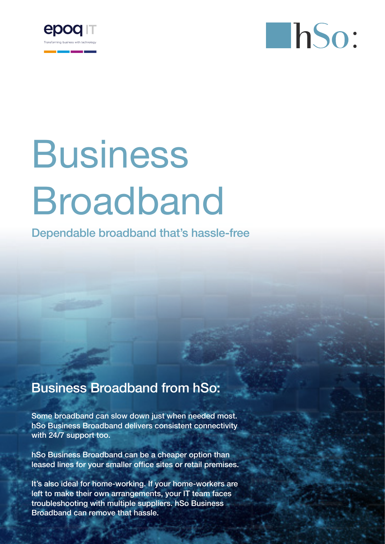



# Business Broadband

Dependable broadband that's hassle-free

## Business Broadband from hSo:

Some broadband can slow down just when needed most. hSo Business Broadband delivers consistent connectivity with 24/7 support too.

hSo Business Broadband can be a cheaper option than leased lines for your smaller office sites or retail premises.

It's also ideal for home-working. If your home-workers are left to make their own arrangements, your IT team faces troubleshooting with multiple suppliers. hSo Business Broadband can remove that hassle.